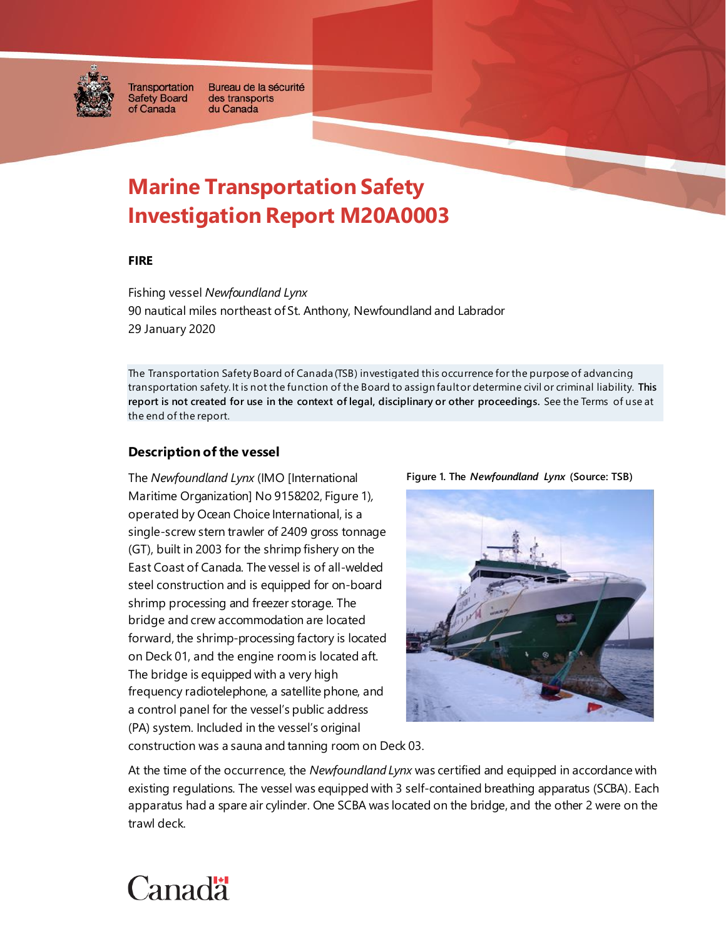

**Transportation Safety Board** of Canada

Bureau de la sécurité des transports du Canada

## **Marine Transportation Safety Investigation Report M20A0003**

## **FIRE**

Fishing vessel *Newfoundland Lynx* 90 nautical miles northeast of St. Anthony, Newfoundland and Labrador 29 January 2020

The Transportation Safety Board of Canada (TSB) investigated this occurrence for the purpose of advancing transportation safety. It is not the function of the Board to assign fault or determine civil or criminal liability. **This report is not created for use in the context of legal, disciplinary or other proceedings.** See the Terms of use at the end of the report.

## **Description of the vessel**

The *Newfoundland Lynx* (IMO [International Maritime Organization] No 9158202, Figure 1)*,*  operated by Ocean Choice International, is a single-screw stern trawler of 2409 gross tonnage (GT), built in 2003 for the shrimp fishery on the East Coast of Canada. The vessel is of all-welded steel construction and is equipped for on-board shrimp processing and freezer storage. The bridge and crew accommodation are located forward, the shrimp-processing factory is located on Deck 01, and the engine room is located aft. The bridge is equipped with a very high frequency radiotelephone, a satellite phone, and a control panel for the vessel's public address (PA) system. Included in the vessel's original



**Figure 1. The** *Newfoundland Lynx* **(Source: TSB)**

construction was a sauna and tanning room on Deck 03.

At the time of the occurrence, the *Newfoundland Lynx* was certified and equipped in accordance with existing regulations. The vessel was equipped with 3 self-contained breathing apparatus (SCBA). Each apparatus had a spare air cylinder. One SCBA was located on the bridge, and the other 2 were on the trawl deck.

# Canadä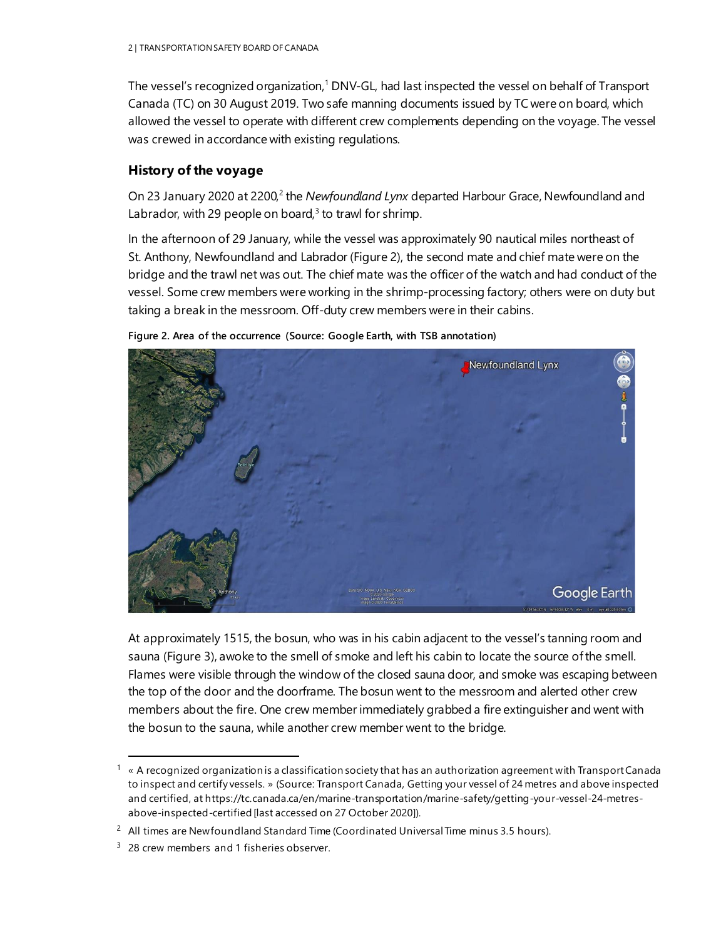The vessel's recognized organization,<sup>1</sup> DNV-GL, had last inspected the vessel on behalf of Transport Canada (TC) on 30 August 2019. Two safe manning documents issued by TC were on board, which allowed the vessel to operate with different crew complements depending on the voyage. The vessel was crewed in accordance with existing regulations.

## **History of the voyage**

On 23 January 2020 at 2200,<sup>2</sup> the *Newfoundland Lynx* departed Harbour Grace, Newfoundland and Labrador, with 29 people on board, $3$  to trawl for shrimp.

In the afternoon of 29 January, while the vessel was approximately 90 nautical miles northeast of St. Anthony, Newfoundland and Labrador (Figure 2), the second mate and chief mate were on the bridge and the trawl net was out. The chief mate was the officer of the watch and had conduct of the vessel. Some crew members were working in the shrimp-processing factory; others were on duty but taking a break in the messroom. Off-duty crew members were in their cabins.



**Figure 2. Area of the occurrence (Source: Google Earth, with TSB annotation)**

At approximately 1515, the bosun, who was in his cabin adjacent to the vessel's tanning room and sauna (Figure 3), awoke to the smell of smoke and left his cabin to locate the source of the smell. Flames were visible through the window of the closed sauna door, and smoke was escaping between the top of the door and the doorframe. The bosun went to the messroom and alerted other crew members about the fire. One crew member immediately grabbed a fire extinguisher and went with the bosun to the sauna, while another crew member went to the bridge.

l

 $1 \times$  A recognized organization is a classification society that has an authorization agreement with Transport Canada to inspect and certify vessels. » (Source: Transport Canada, Getting your vessel of 24 metres and above inspected and certified, at https://tc.canada.ca/en/marine-transportation/marine-safety/getting-your-vessel-24-metresabove-inspected-certified [last accessed on 27 October 2020]).

<sup>&</sup>lt;sup>2</sup> All times are Newfoundland Standard Time (Coordinated Universal Time minus 3.5 hours).

<sup>&</sup>lt;sup>3</sup> 28 crew members and 1 fisheries observer.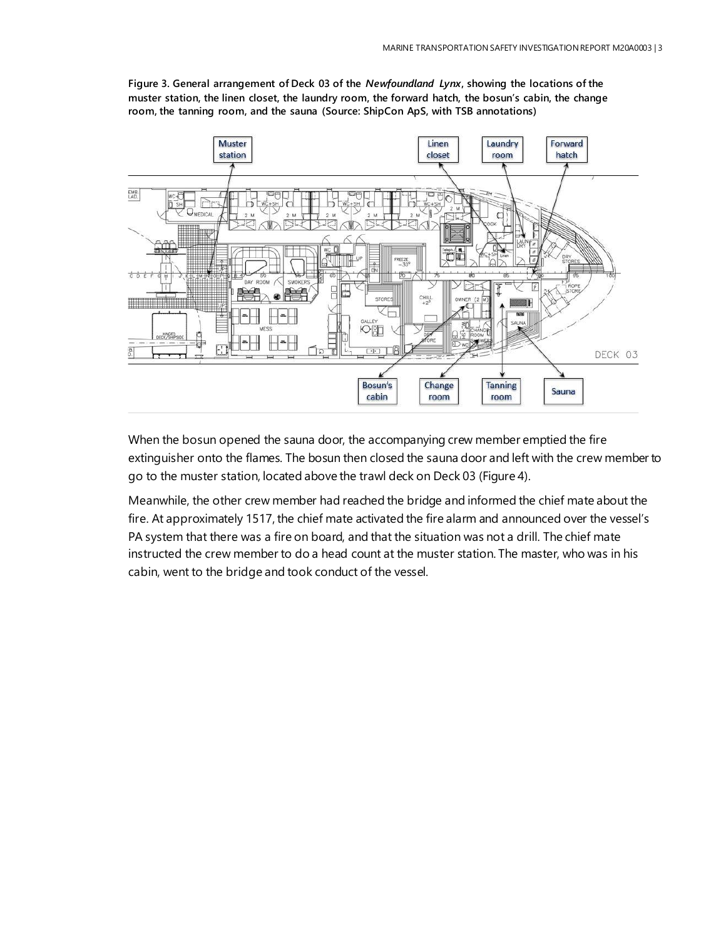

**Figure 3. General arrangement of Deck 03 of the** *Newfoundland Lynx***, showing the locations of the muster station, the linen closet, the laundry room, the forward hatch, the bosun's cabin, the change room, the tanning room, and the sauna (Source: ShipCon ApS, with TSB annotations)**

When the bosun opened the sauna door, the accompanying crew member emptied the fire extinguisher onto the flames. The bosun then closed the sauna door and left with the crew member to go to the muster station, located above the trawl deck on Deck 03 (Figure 4).

Meanwhile, the other crew member had reached the bridge and informed the chief mate about the fire. At approximately 1517, the chief mate activated the fire alarm and announced over the vessel's PA system that there was a fire on board, and that the situation was not a drill. The chief mate instructed the crew member to do a head count at the muster station. The master, who was in his cabin, went to the bridge and took conduct of the vessel.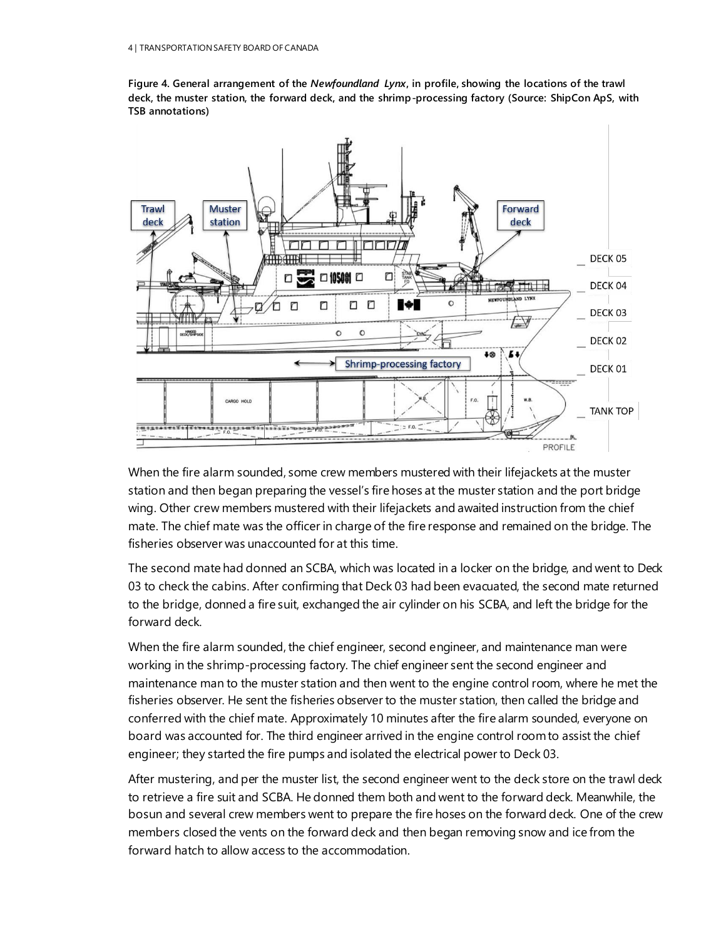**Figure 4. General arrangement of the** *Newfoundland Lynx***, in profile, showing the locations of the trawl deck, the muster station, the forward deck, and the shrimp-processing factory (Source: ShipCon ApS, with TSB annotations)**



When the fire alarm sounded, some crew members mustered with their lifejackets at the muster station and then began preparing the vessel's fire hoses at the muster station and the port bridge wing. Other crew members mustered with their lifejackets and awaited instruction from the chief mate. The chief mate was the officer in charge of the fire response and remained on the bridge. The fisheries observer was unaccounted for at this time.

The second mate had donned an SCBA, which was located in a locker on the bridge, and went to Deck 03 to check the cabins. After confirming that Deck 03 had been evacuated, the second mate returned to the bridge, donned a fire suit, exchanged the air cylinder on his SCBA, and left the bridge for the forward deck.

When the fire alarm sounded, the chief engineer, second engineer, and maintenance man were working in the shrimp-processing factory. The chief engineer sent the second engineer and maintenance man to the muster station and then went to the engine control room, where he met the fisheries observer. He sent the fisheries observer to the muster station, then called the bridge and conferred with the chief mate. Approximately 10 minutes after the fire alarm sounded, everyone on board was accounted for. The third engineer arrived in the engine control room to assist the chief engineer; they started the fire pumps and isolated the electrical power to Deck 03.

After mustering, and per the muster list, the second engineer went to the deck store on the trawl deck to retrieve a fire suit and SCBA. He donned them both and went to the forward deck. Meanwhile, the bosun and several crew members went to prepare the fire hoses on the forward deck. One of the crew members closed the vents on the forward deck and then began removing snow and ice from the forward hatch to allow access to the accommodation.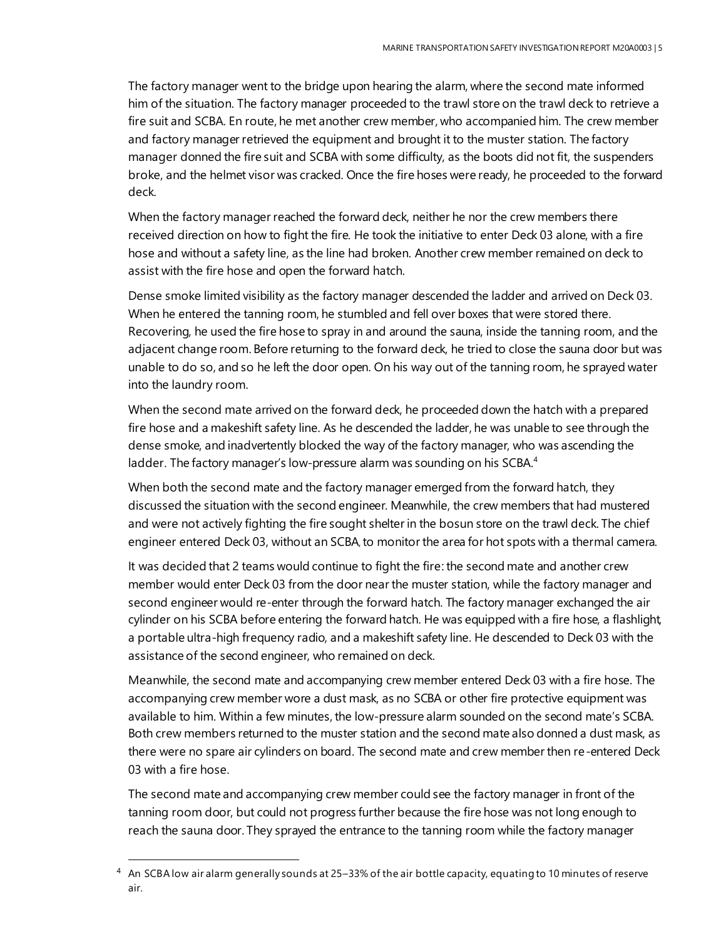The factory manager went to the bridge upon hearing the alarm, where the second mate informed him of the situation. The factory manager proceeded to the trawl store on the trawl deck to retrieve a fire suit and SCBA. En route, he met another crew member, who accompanied him. The crew member and factory manager retrieved the equipment and brought it to the muster station. The factory manager donned the fire suit and SCBA with some difficulty, as the boots did not fit, the suspenders broke, and the helmet visor was cracked. Once the fire hoses were ready, he proceeded to the forward deck.

When the factory manager reached the forward deck, neither he nor the crew members there received direction on how to fight the fire. He took the initiative to enter Deck 03 alone, with a fire hose and without a safety line, as the line had broken. Another crew member remained on deck to assist with the fire hose and open the forward hatch.

Dense smoke limited visibility as the factory manager descended the ladder and arrived on Deck 03. When he entered the tanning room, he stumbled and fell over boxes that were stored there. Recovering, he used the fire hose to spray in and around the sauna, inside the tanning room, and the adjacent change room. Before returning to the forward deck, he tried to close the sauna door but was unable to do so, and so he left the door open. On his way out of the tanning room, he sprayed water into the laundry room.

When the second mate arrived on the forward deck, he proceeded down the hatch with a prepared fire hose and a makeshift safety line. As he descended the ladder, he was unable to see through the dense smoke, and inadvertently blocked the way of the factory manager, who was ascending the ladder. The factory manager's low-pressure alarm was sounding on his SCBA.<sup>4</sup>

When both the second mate and the factory manager emerged from the forward hatch, they discussed the situation with the second engineer. Meanwhile, the crew members that had mustered and were not actively fighting the fire sought shelter in the bosun store on the trawl deck. The chief engineer entered Deck 03, without an SCBA, to monitor the area for hot spots with a thermal camera.

It was decided that 2 teams would continue to fight the fire: the second mate and another crew member would enter Deck 03 from the door near the muster station, while the factory manager and second engineer would re-enter through the forward hatch. The factory manager exchanged the air cylinder on his SCBA before entering the forward hatch. He was equipped with a fire hose, a flashlight, a portable ultra-high frequency radio, and a makeshift safety line. He descended to Deck 03 with the assistance of the second engineer, who remained on deck.

Meanwhile, the second mate and accompanying crew member entered Deck 03 with a fire hose. The accompanying crew member wore a dust mask, as no SCBA or other fire protective equipment was available to him. Within a few minutes, the low-pressure alarm sounded on the second mate's SCBA. Both crew members returned to the muster station and the second mate also donned a dust mask, as there were no spare air cylinders on board. The second mate and crew member then re-entered Deck 03 with a fire hose.

The second mate and accompanying crew member could see the factory manager in front of the tanning room door, but could not progress further because the fire hose was not long enough to reach the sauna door. They sprayed the entrance to the tanning room while the factory manager

l

<sup>4</sup> An SCBA low air alarm generally sounds at 25–33% of the air bottle capacity, equating to 10 minutes of reserve air.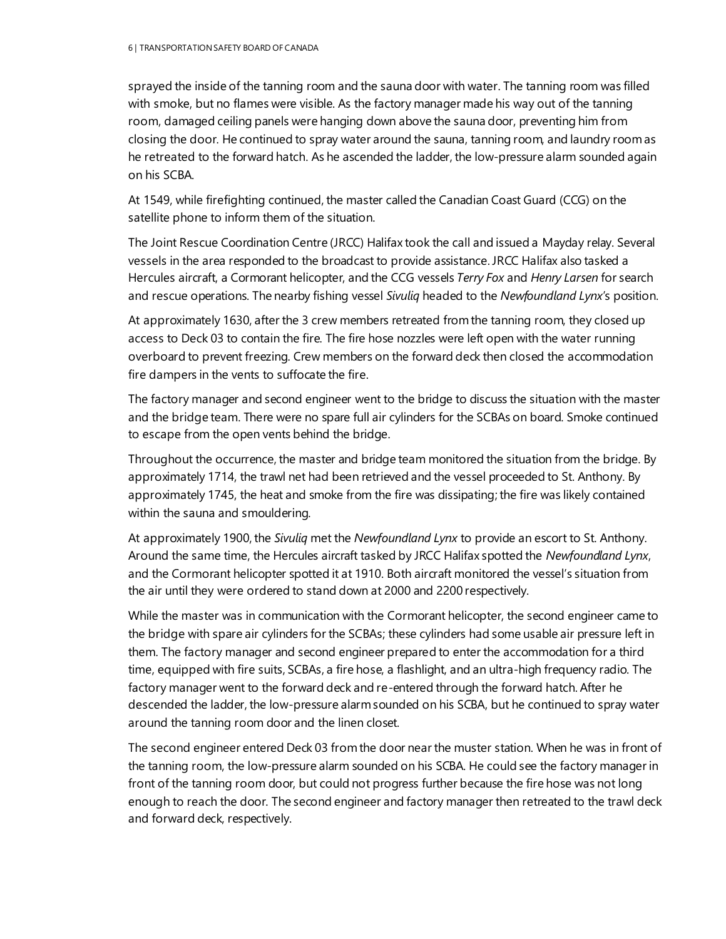sprayed the inside of the tanning room and the sauna door with water. The tanning room was filled with smoke, but no flames were visible. As the factory manager made his way out of the tanning room, damaged ceiling panels were hanging down above the sauna door, preventing him from closing the door. He continued to spray water around the sauna, tanning room, and laundry room as he retreated to the forward hatch. As he ascended the ladder, the low-pressure alarm sounded again on his SCBA.

At 1549, while firefighting continued, the master called the Canadian Coast Guard (CCG) on the satellite phone to inform them of the situation.

The Joint Rescue Coordination Centre (JRCC) Halifax took the call and issued a Mayday relay. Several vessels in the area responded to the broadcast to provide assistance. JRCC Halifax also tasked a Hercules aircraft, a Cormorant helicopter, and the CCG vessels *Terry Fox* and *Henry Larsen* for search and rescue operations. The nearby fishing vessel *Sivuliq* headed to the *Newfoundland Lynx*'s position.

At approximately 1630, after the 3 crew members retreated from the tanning room, they closed up access to Deck 03 to contain the fire. The fire hose nozzles were left open with the water running overboard to prevent freezing. Crew members on the forward deck then closed the accommodation fire dampers in the vents to suffocate the fire.

The factory manager and second engineer went to the bridge to discuss the situation with the master and the bridge team. There were no spare full air cylinders for the SCBAs on board. Smoke continued to escape from the open vents behind the bridge.

Throughout the occurrence, the master and bridge team monitored the situation from the bridge. By approximately 1714, the trawl net had been retrieved and the vessel proceeded to St. Anthony. By approximately 1745, the heat and smoke from the fire was dissipating; the fire was likely contained within the sauna and smouldering.

At approximately 1900, the *Sivuliq* met the *Newfoundland Lynx* to provide an escort to St. Anthony. Around the same time, the Hercules aircraft tasked by JRCC Halifax spotted the *Newfoundland Lynx*, and the Cormorant helicopter spotted it at 1910. Both aircraft monitored the vessel's situation from the air until they were ordered to stand down at 2000 and 2200 respectively.

While the master was in communication with the Cormorant helicopter, the second engineer came to the bridge with spare air cylinders for the SCBAs; these cylinders had some usable air pressure left in them. The factory manager and second engineer prepared to enter the accommodation for a third time, equipped with fire suits, SCBAs, a fire hose, a flashlight, and an ultra-high frequency radio. The factory manager went to the forward deck and re-entered through the forward hatch. After he descended the ladder, the low-pressure alarm sounded on his SCBA, but he continued to spray water around the tanning room door and the linen closet.

The second engineer entered Deck 03 from the door near the muster station. When he was in front of the tanning room, the low-pressure alarm sounded on his SCBA. He could see the factory manager in front of the tanning room door, but could not progress further because the fire hose was not long enough to reach the door. The second engineer and factory manager then retreated to the trawl deck and forward deck, respectively.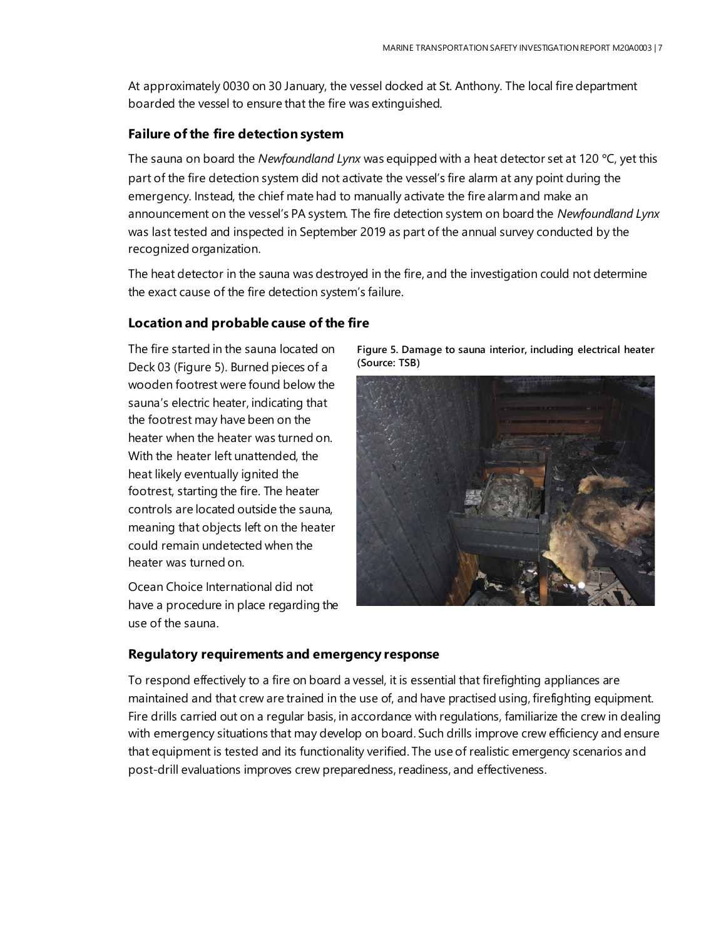At approximately 0030 on 30 January, the vessel docked at St. Anthony. The local fire department boarded the vessel to ensure that the fire was extinguished.

## **Failure of the fire detection system**

The sauna on board the *Newfoundland Lynx* was equipped with a heat detector set at 120 °C, yet this part of the fire detection system did not activate the vessel's fire alarm at any point during the emergency. Instead, the chief mate had to manually activate the fire alarm and make an announcement on the vessel's PA system. The fire detection system on board the *Newfoundland Lynx* was last tested and inspected in September 2019 as part of the annual survey conducted by the recognized organization.

The heat detector in the sauna was destroyed in the fire, and the investigation could not determine the exact cause of the fire detection system's failure.

## **Location and probable cause of the fire**

The fire started in the sauna located on Deck 03 (Figure 5). Burned pieces of a wooden footrest were found below the sauna's electric heater, indicating that the footrest may have been on the heater when the heater was turned on. With the heater left unattended, the heat likely eventually ignited the footrest, starting the fire. The heater controls are located outside the sauna, meaning that objects left on the heater could remain undetected when the heater was turned on.

Ocean Choice International did not have a procedure in place regarding the use of the sauna.

**Figure 5. Damage to sauna interior, including electrical heater (Source: TSB)**



### **Regulatory requirements and emergency response**

To respond effectively to a fire on board a vessel, it is essential that firefighting appliances are maintained and that crew are trained in the use of, and have practised using, firefighting equipment. Fire drills carried out on a regular basis, in accordance with regulations, familiarize the crew in dealing with emergency situations that may develop on board. Such drills improve crew efficiency and ensure that equipment is tested and its functionality verified. The use of realistic emergency scenarios and post-drill evaluations improves crew preparedness, readiness, and effectiveness.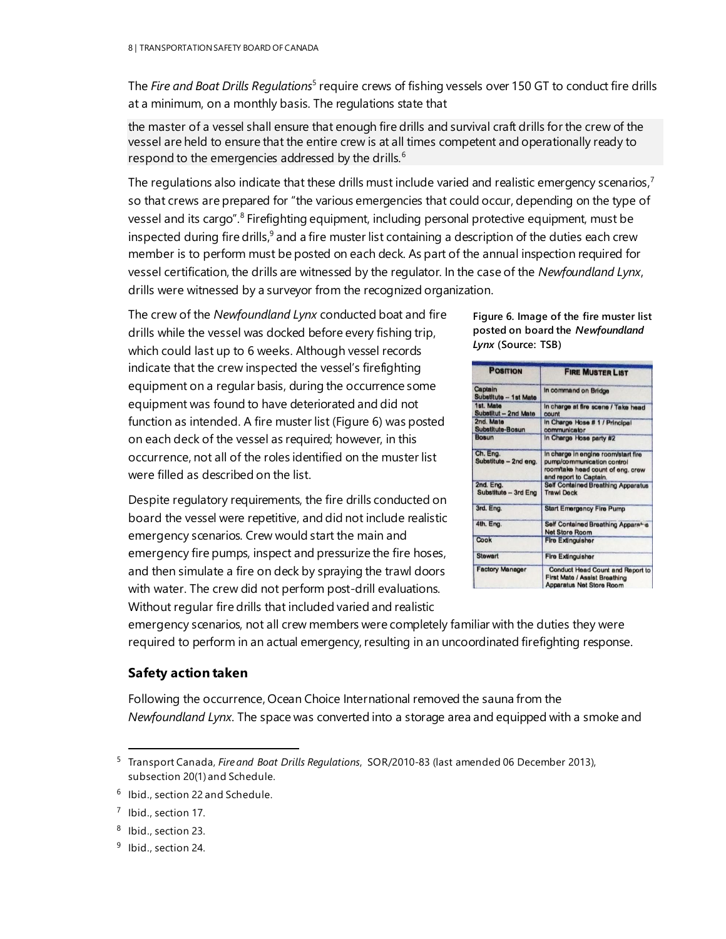The *Fire and Boat Drills Regulations<sup>5</sup>* require crews of fishing vessels over 150 GT to conduct fire drills at a minimum, on a monthly basis. The regulations state that

the master of a vessel shall ensure that enough fire drills and survival craft drills for the crew of the vessel are held to ensure that the entire crew is at all times competent and operationally ready to respond to the emergencies addressed by the drills.<sup>6</sup>

The regulations also indicate that these drills must include varied and realistic emergency scenarios,<sup>7</sup> so that crews are prepared for "the various emergencies that could occur, depending on the type of vessel and its cargo".<sup>8</sup> Firefighting equipment, including personal protective equipment, must be inspected during fire drills,<sup>9</sup> and a fire muster list containing a description of the duties each crew member is to perform must be posted on each deck. As part of the annual inspection required for vessel certification, the drills are witnessed by the regulator. In the case of the *Newfoundland Lynx*, drills were witnessed by a surveyor from the recognized organization.

The crew of the *Newfoundland Lynx* conducted boat and fire drills while the vessel was docked before every fishing trip, which could last up to 6 weeks. Although vessel records indicate that the crew inspected the vessel's firefighting equipment on a regular basis, during the occurrence some equipment was found to have deteriorated and did not function as intended. A fire muster list (Figure 6) was posted on each deck of the vessel as required; however, in this occurrence, not all of the roles identified on the muster list were filled as described on the list.

Despite regulatory requirements, the fire drills conducted on board the vessel were repetitive, and did not include realistic emergency scenarios. Crew would start the main and emergency fire pumps, inspect and pressurize the fire hoses, and then simulate a fire on deck by spraying the trawl doors with water. The crew did not perform post-drill evaluations. Without regular fire drills that included varied and realistic

**Figure 6. Image of the fire muster list posted on board the** *Newfoundland Lynx* **(Source: TSB)**

| <b>POSITION</b>                   | <b>FIRE MUSTER LIST</b>                                                                                                          |
|-----------------------------------|----------------------------------------------------------------------------------------------------------------------------------|
| Captain<br>Substitute - 1st Mate  | In command on Bridge                                                                                                             |
| 1st. Mate<br>Substitut - 2nd Mate | In charge at fire scene / Take head<br>count                                                                                     |
| 2nd. Mate<br>Substitute-Bosun     | In Charge Hose # 1 / Principal<br>communicator                                                                                   |
| <b>Bosun</b>                      | In Charge Hose party #2                                                                                                          |
| Ch. Eng.<br>Substitute - 2nd eng. | In charge in engine room/start fire<br>pump/communication control<br>room/take head count of eng. crew<br>and report to Captain. |
| 2nd. Eng.<br>Substitute - 3rd Eng | <b>Self Contained Breathing Apparatus</b><br><b>Trawl Deck</b>                                                                   |
| 3rd. Eng.                         | <b>Start Emergency Fire Pump</b>                                                                                                 |
| 4th. Eng.                         | Self Contained Breathing Apparatio<br><b>Net Store Room</b>                                                                      |
| Cook                              | <b>Fire Extinguisher</b>                                                                                                         |
| <b>Stewart</b>                    | <b>Fire Extinguisher</b>                                                                                                         |
| <b>Factory Manager</b>            | <b>Conduct Head Count and Report to</b><br>First Mate / Assist Breathing<br><b>Apparatus Net Store Room</b>                      |

emergency scenarios, not all crew members were completely familiar with the duties they were required to perform in an actual emergency, resulting in an uncoordinated firefighting response.

## **Safety action taken**

Following the occurrence, Ocean Choice International removed the sauna from the *Newfoundland Lynx*. The space was converted into a storage area and equipped with a smoke and

l

<sup>5</sup> Transport Canada, *Fire and Boat Drills Regulations*, SOR/2010-83 (last amended 06 December 2013), subsection 20(1) and Schedule.

<sup>&</sup>lt;sup>6</sup> Ibid., section 22 and Schedule.

 $^7$  Ibid., section 17.

<sup>&</sup>lt;sup>8</sup> Ibid., section 23.

<sup>&</sup>lt;sup>9</sup> Ibid., section 24.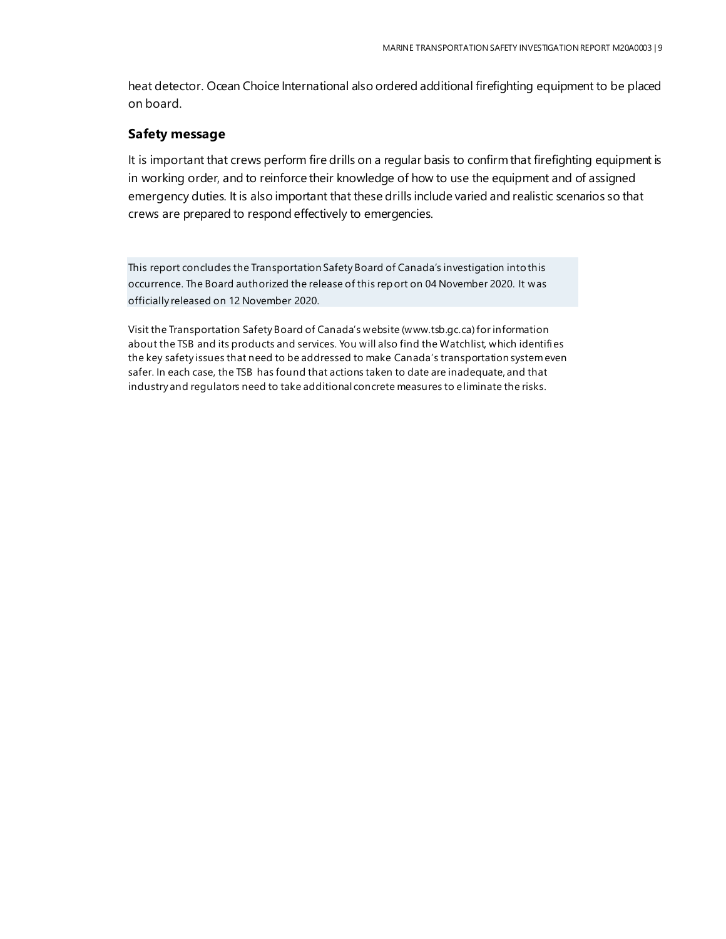heat detector. Ocean Choice International also ordered additional firefighting equipment to be placed on board.

## **Safety message**

It is important that crews perform fire drills on a regular basis to confirm that firefighting equipment is in working order, and to reinforce their knowledge of how to use the equipment and of assigned emergency duties. It is also important that these drills include varied and realistic scenarios so that crews are prepared to respond effectively to emergencies.

This report concludes the Transportation Safety Board of Canada's investigation into this occurrence. The Board authorized the release of this report on 04 November 2020. It was officially released on 12 November 2020.

Visit the Transportation Safety Board of Canada's website (www.tsb.gc.ca) for information about the TSB and its products and services. You will also find the Watchlist, which identifi es the key safety issues that need to be addressed to make Canada's transportation system even safer. In each case, the TSB has found that actions taken to date are inadequate, and that industry and regulators need to take additional concrete measures to eliminate the risks.